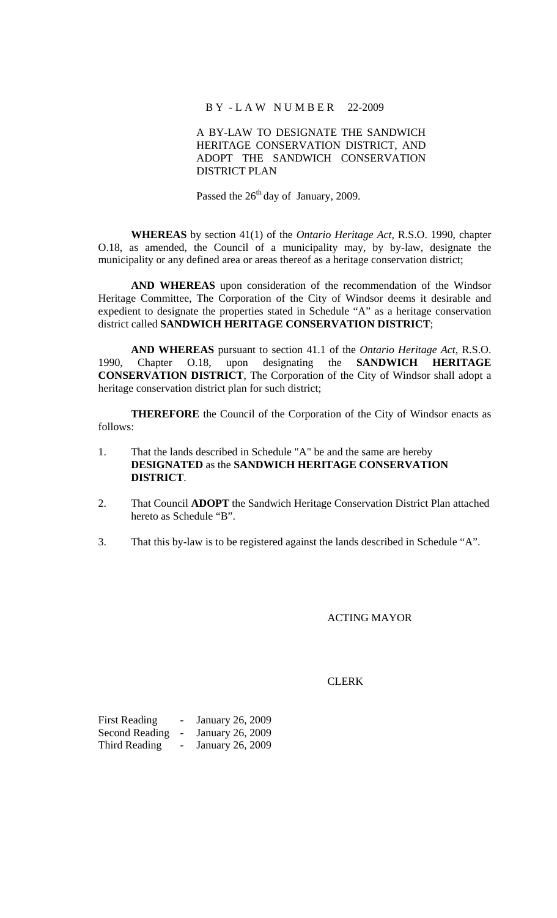# B Y - L A W N U M B E R 22-2009

# A BY-LAW TO DESIGNATE THE SANDWICH HERITAGE CONSERVATION DISTRICT, AND ADOPT THE SANDWICH CONSERVATION DISTRICT PLAN

Passed the 26<sup>th</sup> day of January, 2009.

**WHEREAS** by section 41(1) of the *Ontario Heritage Act,* R.S.O. 1990, chapter O.18, as amended, the Council of a municipality may, by by-law, designate the municipality or any defined area or areas thereof as a heritage conservation district;

**AND WHEREAS** upon consideration of the recommendation of the Windsor Heritage Committee, The Corporation of the City of Windsor deems it desirable and expedient to designate the properties stated in Schedule "A" as a heritage conservation district called **SANDWICH HERITAGE CONSERVATION DISTRICT**;

**AND WHEREAS** pursuant to section 41.1 of the *Ontario Heritage Act,* R.S.O. 1990, Chapter O.18, upon designating the **SANDWICH HERITAGE CONSERVATION DISTRICT**, The Corporation of the City of Windsor shall adopt a heritage conservation district plan for such district;

**THEREFORE** the Council of the Corporation of the City of Windsor enacts as follows:

- 1. That the lands described in Schedule "A" be and the same are hereby **DESIGNATED** as the **SANDWICH HERITAGE CONSERVATION DISTRICT**.
- 2. That Council **ADOPT** the Sandwich Heritage Conservation District Plan attached hereto as Schedule "B".
- 3. That this by-law is to be registered against the lands described in Schedule "A".

### ACTING MAYOR

#### **CLERK**

| <b>First Reading</b>  | $\overline{\phantom{0}}$ | January 26, 2009 |
|-----------------------|--------------------------|------------------|
| <b>Second Reading</b> | $\overline{\phantom{a}}$ | January 26, 2009 |
| Third Reading         |                          | January 26, 2009 |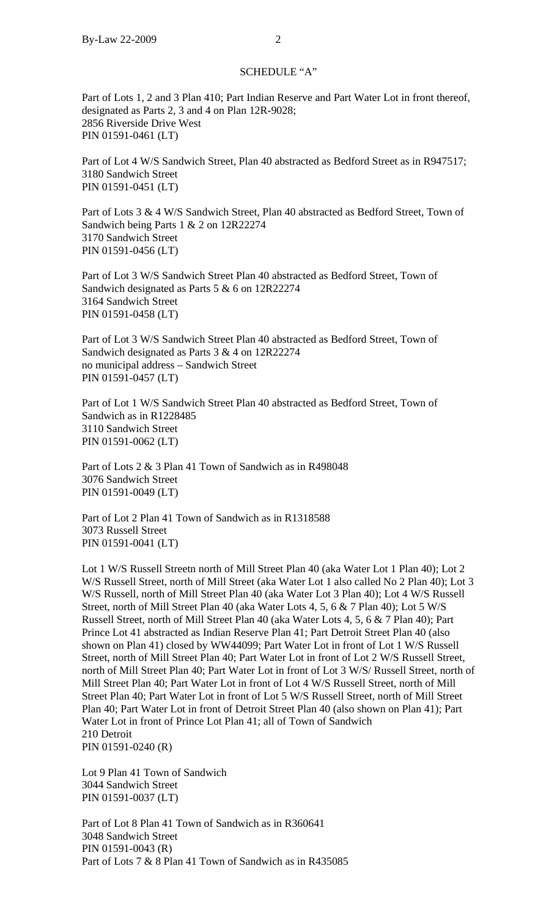### SCHEDULE "A"

Part of Lots 1, 2 and 3 Plan 410; Part Indian Reserve and Part Water Lot in front thereof, designated as Parts 2, 3 and 4 on Plan 12R-9028; 2856 Riverside Drive West PIN 01591-0461 (LT)

Part of Lot 4 W/S Sandwich Street, Plan 40 abstracted as Bedford Street as in R947517; 3180 Sandwich Street PIN 01591-0451 (LT)

Part of Lots 3 & 4 W/S Sandwich Street, Plan 40 abstracted as Bedford Street, Town of Sandwich being Parts 1 & 2 on 12R22274 3170 Sandwich Street PIN 01591-0456 (LT)

Part of Lot 3 W/S Sandwich Street Plan 40 abstracted as Bedford Street, Town of Sandwich designated as Parts 5 & 6 on 12R22274 3164 Sandwich Street PIN 01591-0458 (LT)

Part of Lot 3 W/S Sandwich Street Plan 40 abstracted as Bedford Street, Town of Sandwich designated as Parts 3 & 4 on 12R22274 no municipal address – Sandwich Street PIN 01591-0457 (LT)

Part of Lot 1 W/S Sandwich Street Plan 40 abstracted as Bedford Street, Town of Sandwich as in R1228485 3110 Sandwich Street PIN 01591-0062 (LT)

Part of Lots 2 & 3 Plan 41 Town of Sandwich as in R498048 3076 Sandwich Street PIN 01591-0049 (LT)

Part of Lot 2 Plan 41 Town of Sandwich as in R1318588 3073 Russell Street PIN 01591-0041 (LT)

Lot 1 W/S Russell Streetn north of Mill Street Plan 40 (aka Water Lot 1 Plan 40); Lot 2 W/S Russell Street, north of Mill Street (aka Water Lot 1 also called No 2 Plan 40); Lot 3 W/S Russell, north of Mill Street Plan 40 (aka Water Lot 3 Plan 40); Lot 4 W/S Russell Street, north of Mill Street Plan 40 (aka Water Lots 4, 5, 6 & 7 Plan 40); Lot 5 W/S Russell Street, north of Mill Street Plan 40 (aka Water Lots 4, 5, 6 & 7 Plan 40); Part Prince Lot 41 abstracted as Indian Reserve Plan 41; Part Detroit Street Plan 40 (also shown on Plan 41) closed by WW44099; Part Water Lot in front of Lot 1 W/S Russell Street, north of Mill Street Plan 40; Part Water Lot in front of Lot 2 W/S Russell Street, north of Mill Street Plan 40; Part Water Lot in front of Lot 3 W/S/ Russell Street, north of Mill Street Plan 40; Part Water Lot in front of Lot 4 W/S Russell Street, north of Mill Street Plan 40; Part Water Lot in front of Lot 5 W/S Russell Street, north of Mill Street Plan 40; Part Water Lot in front of Detroit Street Plan 40 (also shown on Plan 41); Part Water Lot in front of Prince Lot Plan 41; all of Town of Sandwich 210 Detroit PIN 01591-0240 (R)

Lot 9 Plan 41 Town of Sandwich 3044 Sandwich Street PIN 01591-0037 (LT)

Part of Lot 8 Plan 41 Town of Sandwich as in R360641 3048 Sandwich Street PIN 01591-0043 (R) Part of Lots 7 & 8 Plan 41 Town of Sandwich as in R435085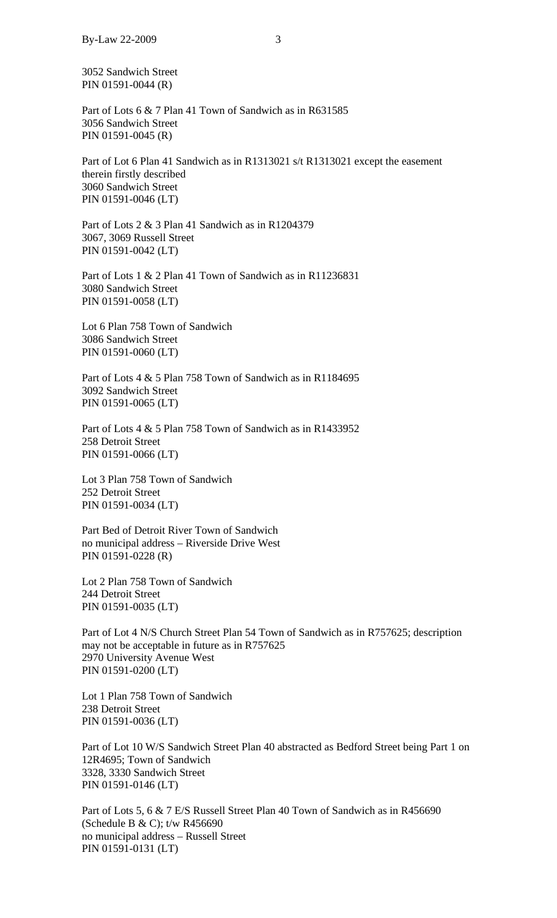3052 Sandwich Street PIN 01591-0044 (R)

Part of Lots 6 & 7 Plan 41 Town of Sandwich as in R631585 3056 Sandwich Street PIN 01591-0045 (R)

Part of Lot 6 Plan 41 Sandwich as in R1313021 s/t R1313021 except the easement therein firstly described 3060 Sandwich Street PIN 01591-0046 (LT)

Part of Lots 2 & 3 Plan 41 Sandwich as in R1204379 3067, 3069 Russell Street PIN 01591-0042 (LT)

Part of Lots 1 & 2 Plan 41 Town of Sandwich as in R11236831 3080 Sandwich Street PIN 01591-0058 (LT)

Lot 6 Plan 758 Town of Sandwich 3086 Sandwich Street PIN 01591-0060 (LT)

Part of Lots 4 & 5 Plan 758 Town of Sandwich as in R1184695 3092 Sandwich Street PIN 01591-0065 (LT)

Part of Lots 4 & 5 Plan 758 Town of Sandwich as in R1433952 258 Detroit Street PIN 01591-0066 (LT)

Lot 3 Plan 758 Town of Sandwich 252 Detroit Street PIN 01591-0034 (LT)

Part Bed of Detroit River Town of Sandwich no municipal address – Riverside Drive West PIN 01591-0228 (R)

Lot 2 Plan 758 Town of Sandwich 244 Detroit Street PIN 01591-0035 (LT)

Part of Lot 4 N/S Church Street Plan 54 Town of Sandwich as in R757625; description may not be acceptable in future as in R757625 2970 University Avenue West PIN 01591-0200 (LT)

Lot 1 Plan 758 Town of Sandwich 238 Detroit Street PIN 01591-0036 (LT)

Part of Lot 10 W/S Sandwich Street Plan 40 abstracted as Bedford Street being Part 1 on 12R4695; Town of Sandwich 3328, 3330 Sandwich Street PIN 01591-0146 (LT)

Part of Lots 5, 6 & 7 E/S Russell Street Plan 40 Town of Sandwich as in R456690 (Schedule B & C); t/w R456690 no municipal address – Russell Street PIN 01591-0131 (LT)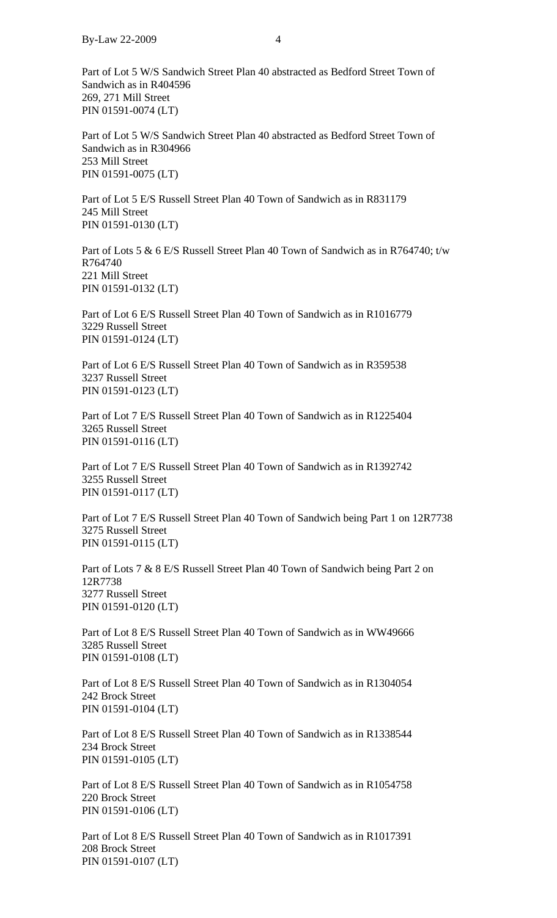Part of Lot 5 W/S Sandwich Street Plan 40 abstracted as Bedford Street Town of Sandwich as in R404596 269, 271 Mill Street PIN 01591-0074 (LT)

Part of Lot 5 W/S Sandwich Street Plan 40 abstracted as Bedford Street Town of Sandwich as in R304966 253 Mill Street PIN 01591-0075 (LT)

Part of Lot 5 E/S Russell Street Plan 40 Town of Sandwich as in R831179 245 Mill Street PIN 01591-0130 (LT)

Part of Lots 5 & 6 E/S Russell Street Plan 40 Town of Sandwich as in R764740; t/w R764740 221 Mill Street PIN 01591-0132 (LT)

Part of Lot 6 E/S Russell Street Plan 40 Town of Sandwich as in R1016779 3229 Russell Street PIN 01591-0124 (LT)

Part of Lot 6 E/S Russell Street Plan 40 Town of Sandwich as in R359538 3237 Russell Street PIN 01591-0123 (LT)

Part of Lot 7 E/S Russell Street Plan 40 Town of Sandwich as in R1225404 3265 Russell Street PIN 01591-0116 (LT)

Part of Lot 7 E/S Russell Street Plan 40 Town of Sandwich as in R1392742 3255 Russell Street PIN 01591-0117 (LT)

Part of Lot 7 E/S Russell Street Plan 40 Town of Sandwich being Part 1 on 12R7738 3275 Russell Street PIN 01591-0115 (LT)

Part of Lots 7 & 8 E/S Russell Street Plan 40 Town of Sandwich being Part 2 on 12R7738 3277 Russell Street PIN 01591-0120 (LT)

Part of Lot 8 E/S Russell Street Plan 40 Town of Sandwich as in WW49666 3285 Russell Street PIN 01591-0108 (LT)

Part of Lot 8 E/S Russell Street Plan 40 Town of Sandwich as in R1304054 242 Brock Street PIN 01591-0104 (LT)

Part of Lot 8 E/S Russell Street Plan 40 Town of Sandwich as in R1338544 234 Brock Street PIN 01591-0105 (LT)

Part of Lot 8 E/S Russell Street Plan 40 Town of Sandwich as in R1054758 220 Brock Street PIN 01591-0106 (LT)

Part of Lot 8 E/S Russell Street Plan 40 Town of Sandwich as in R1017391 208 Brock Street PIN 01591-0107 (LT)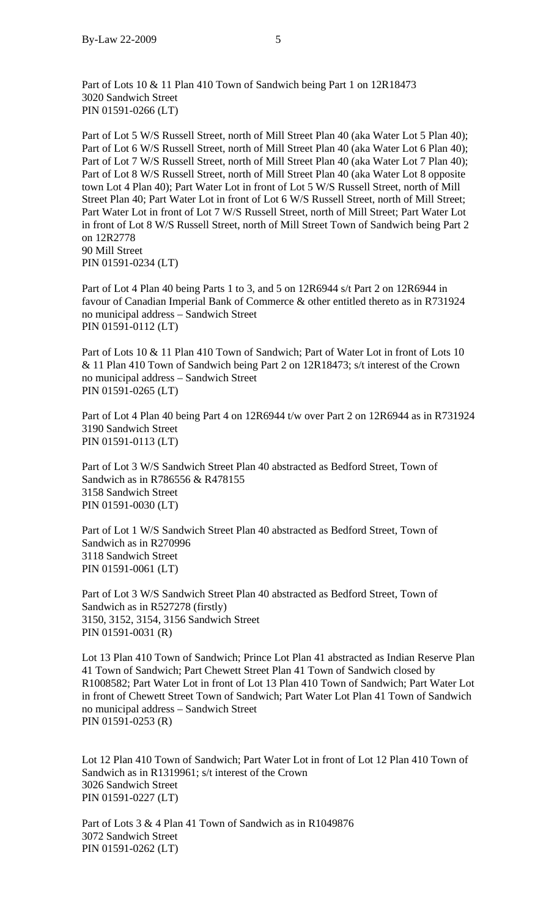Part of Lots 10 & 11 Plan 410 Town of Sandwich being Part 1 on 12R18473 3020 Sandwich Street PIN 01591-0266 (LT)

Part of Lot 5 W/S Russell Street, north of Mill Street Plan 40 (aka Water Lot 5 Plan 40); Part of Lot 6 W/S Russell Street, north of Mill Street Plan 40 (aka Water Lot 6 Plan 40); Part of Lot 7 W/S Russell Street, north of Mill Street Plan 40 (aka Water Lot 7 Plan 40); Part of Lot 8 W/S Russell Street, north of Mill Street Plan 40 (aka Water Lot 8 opposite town Lot 4 Plan 40); Part Water Lot in front of Lot 5 W/S Russell Street, north of Mill Street Plan 40; Part Water Lot in front of Lot 6 W/S Russell Street, north of Mill Street; Part Water Lot in front of Lot 7 W/S Russell Street, north of Mill Street; Part Water Lot in front of Lot 8 W/S Russell Street, north of Mill Street Town of Sandwich being Part 2 on 12R2778 90 Mill Street PIN 01591-0234 (LT)

Part of Lot 4 Plan 40 being Parts 1 to 3, and 5 on 12R6944 s/t Part 2 on 12R6944 in favour of Canadian Imperial Bank of Commerce & other entitled thereto as in R731924 no municipal address – Sandwich Street PIN 01591-0112 (LT)

Part of Lots 10 & 11 Plan 410 Town of Sandwich; Part of Water Lot in front of Lots 10 & 11 Plan 410 Town of Sandwich being Part 2 on 12R18473; s/t interest of the Crown no municipal address – Sandwich Street PIN 01591-0265 (LT)

Part of Lot 4 Plan 40 being Part 4 on 12R6944 t/w over Part 2 on 12R6944 as in R731924 3190 Sandwich Street PIN 01591-0113 (LT)

Part of Lot 3 W/S Sandwich Street Plan 40 abstracted as Bedford Street, Town of Sandwich as in R786556 & R478155 3158 Sandwich Street PIN 01591-0030 (LT)

Part of Lot 1 W/S Sandwich Street Plan 40 abstracted as Bedford Street, Town of Sandwich as in R270996 3118 Sandwich Street PIN 01591-0061 (LT)

Part of Lot 3 W/S Sandwich Street Plan 40 abstracted as Bedford Street, Town of Sandwich as in R527278 (firstly) 3150, 3152, 3154, 3156 Sandwich Street PIN 01591-0031 (R)

Lot 13 Plan 410 Town of Sandwich; Prince Lot Plan 41 abstracted as Indian Reserve Plan 41 Town of Sandwich; Part Chewett Street Plan 41 Town of Sandwich closed by R1008582; Part Water Lot in front of Lot 13 Plan 410 Town of Sandwich; Part Water Lot in front of Chewett Street Town of Sandwich; Part Water Lot Plan 41 Town of Sandwich no municipal address – Sandwich Street PIN 01591-0253 (R)

Lot 12 Plan 410 Town of Sandwich; Part Water Lot in front of Lot 12 Plan 410 Town of Sandwich as in R1319961; s/t interest of the Crown 3026 Sandwich Street PIN 01591-0227 (LT)

Part of Lots 3 & 4 Plan 41 Town of Sandwich as in R1049876 3072 Sandwich Street PIN 01591-0262 (LT)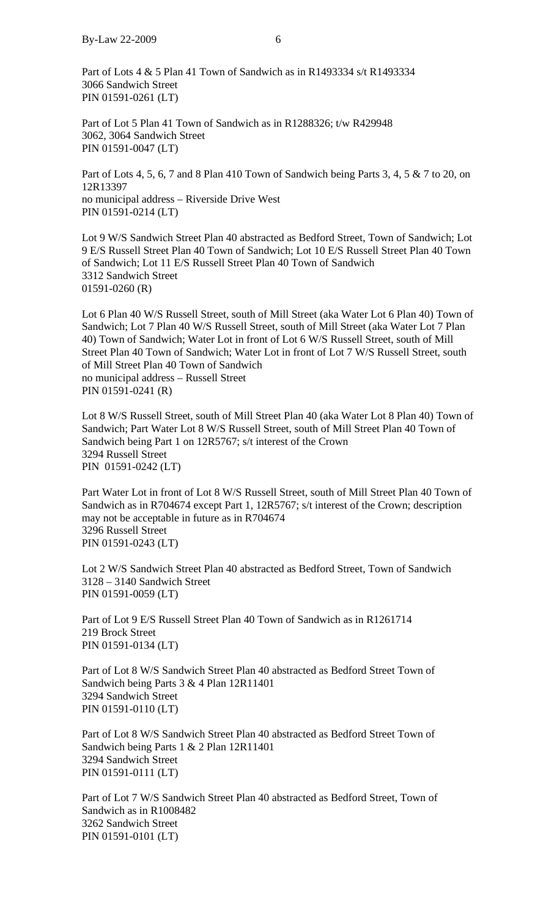Part of Lots 4 & 5 Plan 41 Town of Sandwich as in R1493334 s/t R1493334 3066 Sandwich Street PIN 01591-0261 (LT)

Part of Lot 5 Plan 41 Town of Sandwich as in R1288326; t/w R429948 3062, 3064 Sandwich Street PIN 01591-0047 (LT)

Part of Lots 4, 5, 6, 7 and 8 Plan 410 Town of Sandwich being Parts 3, 4, 5 & 7 to 20, on 12R13397 no municipal address – Riverside Drive West PIN 01591-0214 (LT)

Lot 9 W/S Sandwich Street Plan 40 abstracted as Bedford Street, Town of Sandwich; Lot 9 E/S Russell Street Plan 40 Town of Sandwich; Lot 10 E/S Russell Street Plan 40 Town of Sandwich; Lot 11 E/S Russell Street Plan 40 Town of Sandwich 3312 Sandwich Street 01591-0260 (R)

Lot 6 Plan 40 W/S Russell Street, south of Mill Street (aka Water Lot 6 Plan 40) Town of Sandwich; Lot 7 Plan 40 W/S Russell Street, south of Mill Street (aka Water Lot 7 Plan 40) Town of Sandwich; Water Lot in front of Lot 6 W/S Russell Street, south of Mill Street Plan 40 Town of Sandwich; Water Lot in front of Lot 7 W/S Russell Street, south of Mill Street Plan 40 Town of Sandwich no municipal address – Russell Street PIN 01591-0241 (R)

Lot 8 W/S Russell Street, south of Mill Street Plan 40 (aka Water Lot 8 Plan 40) Town of Sandwich; Part Water Lot 8 W/S Russell Street, south of Mill Street Plan 40 Town of Sandwich being Part 1 on 12R5767; s/t interest of the Crown 3294 Russell Street PIN 01591-0242 (LT)

Part Water Lot in front of Lot 8 W/S Russell Street, south of Mill Street Plan 40 Town of Sandwich as in R704674 except Part 1, 12R5767; s/t interest of the Crown; description may not be acceptable in future as in R704674 3296 Russell Street PIN 01591-0243 (LT)

Lot 2 W/S Sandwich Street Plan 40 abstracted as Bedford Street, Town of Sandwich 3128 – 3140 Sandwich Street PIN 01591-0059 (LT)

Part of Lot 9 E/S Russell Street Plan 40 Town of Sandwich as in R1261714 219 Brock Street PIN 01591-0134 (LT)

Part of Lot 8 W/S Sandwich Street Plan 40 abstracted as Bedford Street Town of Sandwich being Parts 3 & 4 Plan 12R11401 3294 Sandwich Street PIN 01591-0110 (LT)

Part of Lot 8 W/S Sandwich Street Plan 40 abstracted as Bedford Street Town of Sandwich being Parts 1 & 2 Plan 12R11401 3294 Sandwich Street PIN 01591-0111 (LT)

Part of Lot 7 W/S Sandwich Street Plan 40 abstracted as Bedford Street, Town of Sandwich as in R1008482 3262 Sandwich Street PIN 01591-0101 (LT)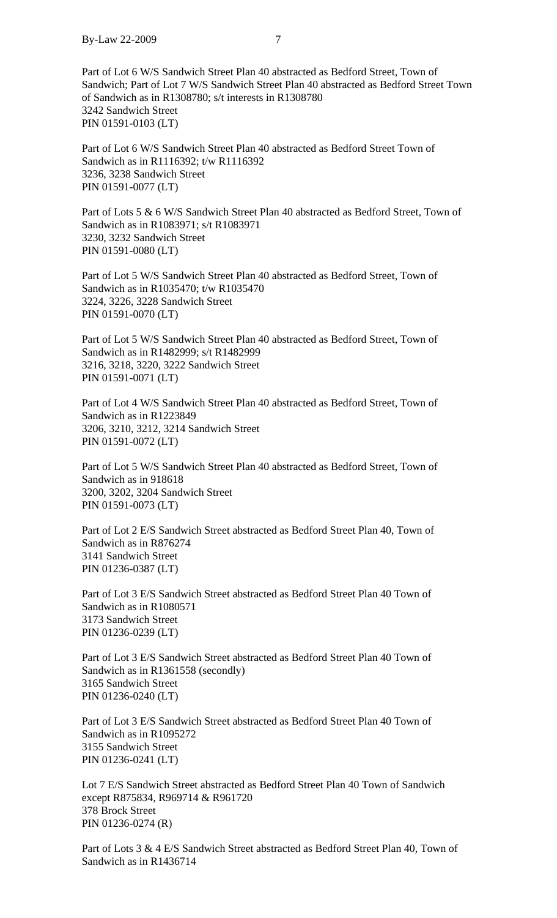Part of Lot 6 W/S Sandwich Street Plan 40 abstracted as Bedford Street, Town of Sandwich; Part of Lot 7 W/S Sandwich Street Plan 40 abstracted as Bedford Street Town of Sandwich as in R1308780; s/t interests in R1308780 3242 Sandwich Street PIN 01591-0103 (LT)

Part of Lot 6 W/S Sandwich Street Plan 40 abstracted as Bedford Street Town of Sandwich as in R1116392; t/w R1116392 3236, 3238 Sandwich Street PIN 01591-0077 (LT)

Part of Lots 5 & 6 W/S Sandwich Street Plan 40 abstracted as Bedford Street, Town of Sandwich as in R1083971; s/t R1083971 3230, 3232 Sandwich Street PIN 01591-0080 (LT)

Part of Lot 5 W/S Sandwich Street Plan 40 abstracted as Bedford Street, Town of Sandwich as in R1035470; t/w R1035470 3224, 3226, 3228 Sandwich Street PIN 01591-0070 (LT)

Part of Lot 5 W/S Sandwich Street Plan 40 abstracted as Bedford Street, Town of Sandwich as in R1482999; s/t R1482999 3216, 3218, 3220, 3222 Sandwich Street PIN 01591-0071 (LT)

Part of Lot 4 W/S Sandwich Street Plan 40 abstracted as Bedford Street, Town of Sandwich as in R1223849 3206, 3210, 3212, 3214 Sandwich Street PIN 01591-0072 (LT)

Part of Lot 5 W/S Sandwich Street Plan 40 abstracted as Bedford Street, Town of Sandwich as in 918618 3200, 3202, 3204 Sandwich Street PIN 01591-0073 (LT)

Part of Lot 2 E/S Sandwich Street abstracted as Bedford Street Plan 40, Town of Sandwich as in R876274 3141 Sandwich Street PIN 01236-0387 (LT)

Part of Lot 3 E/S Sandwich Street abstracted as Bedford Street Plan 40 Town of Sandwich as in R1080571 3173 Sandwich Street PIN 01236-0239 (LT)

Part of Lot 3 E/S Sandwich Street abstracted as Bedford Street Plan 40 Town of Sandwich as in R1361558 (secondly) 3165 Sandwich Street PIN 01236-0240 (LT)

Part of Lot 3 E/S Sandwich Street abstracted as Bedford Street Plan 40 Town of Sandwich as in R1095272 3155 Sandwich Street PIN 01236-0241 (LT)

Lot 7 E/S Sandwich Street abstracted as Bedford Street Plan 40 Town of Sandwich except R875834, R969714 & R961720 378 Brock Street PIN 01236-0274 (R)

Part of Lots 3 & 4 E/S Sandwich Street abstracted as Bedford Street Plan 40, Town of Sandwich as in R1436714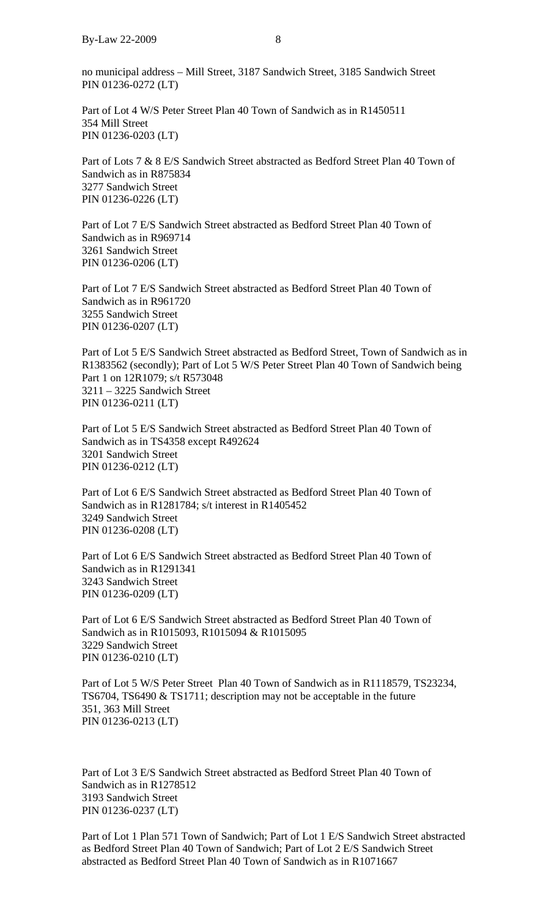no municipal address – Mill Street, 3187 Sandwich Street, 3185 Sandwich Street PIN 01236-0272 (LT)

Part of Lot 4 W/S Peter Street Plan 40 Town of Sandwich as in R1450511 354 Mill Street PIN 01236-0203 (LT)

Part of Lots 7 & 8 E/S Sandwich Street abstracted as Bedford Street Plan 40 Town of Sandwich as in R875834 3277 Sandwich Street PIN 01236-0226 (LT)

Part of Lot 7 E/S Sandwich Street abstracted as Bedford Street Plan 40 Town of Sandwich as in R969714 3261 Sandwich Street PIN 01236-0206 (LT)

Part of Lot 7 E/S Sandwich Street abstracted as Bedford Street Plan 40 Town of Sandwich as in R961720 3255 Sandwich Street PIN 01236-0207 (LT)

Part of Lot 5 E/S Sandwich Street abstracted as Bedford Street, Town of Sandwich as in R1383562 (secondly); Part of Lot 5 W/S Peter Street Plan 40 Town of Sandwich being Part 1 on 12R1079; s/t R573048 3211 – 3225 Sandwich Street PIN 01236-0211 (LT)

Part of Lot 5 E/S Sandwich Street abstracted as Bedford Street Plan 40 Town of Sandwich as in TS4358 except R492624 3201 Sandwich Street PIN 01236-0212 (LT)

Part of Lot 6 E/S Sandwich Street abstracted as Bedford Street Plan 40 Town of Sandwich as in R1281784; s/t interest in R1405452 3249 Sandwich Street PIN 01236-0208 (LT)

Part of Lot 6 E/S Sandwich Street abstracted as Bedford Street Plan 40 Town of Sandwich as in R1291341 3243 Sandwich Street PIN 01236-0209 (LT)

Part of Lot 6 E/S Sandwich Street abstracted as Bedford Street Plan 40 Town of Sandwich as in R1015093, R1015094 & R1015095 3229 Sandwich Street PIN 01236-0210 (LT)

Part of Lot 5 W/S Peter Street Plan 40 Town of Sandwich as in R1118579, TS23234, TS6704, TS6490 & TS1711; description may not be acceptable in the future 351, 363 Mill Street PIN 01236-0213 (LT)

Part of Lot 3 E/S Sandwich Street abstracted as Bedford Street Plan 40 Town of Sandwich as in R1278512 3193 Sandwich Street PIN 01236-0237 (LT)

Part of Lot 1 Plan 571 Town of Sandwich; Part of Lot 1 E/S Sandwich Street abstracted as Bedford Street Plan 40 Town of Sandwich; Part of Lot 2 E/S Sandwich Street abstracted as Bedford Street Plan 40 Town of Sandwich as in R1071667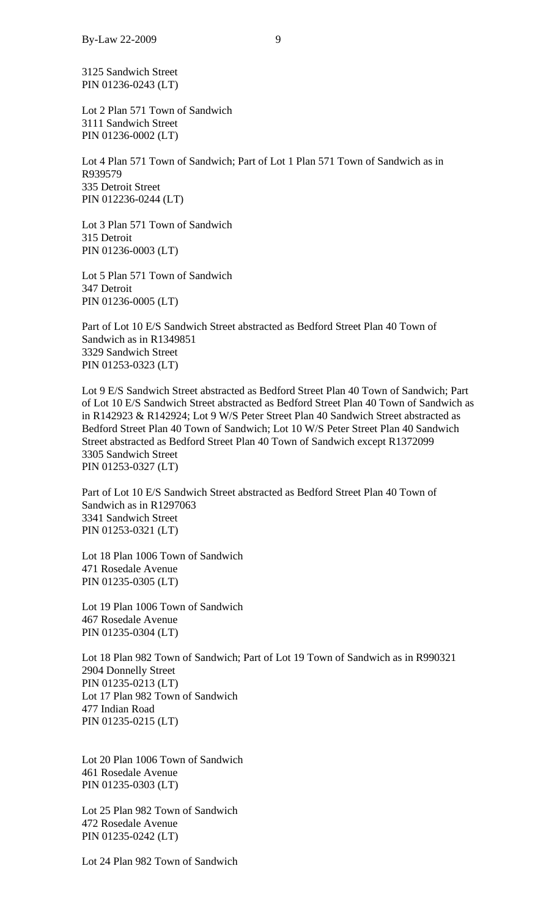3125 Sandwich Street PIN 01236-0243 (LT)

Lot 2 Plan 571 Town of Sandwich 3111 Sandwich Street PIN 01236-0002 (LT)

Lot 4 Plan 571 Town of Sandwich; Part of Lot 1 Plan 571 Town of Sandwich as in R939579 335 Detroit Street PIN 012236-0244 (LT)

Lot 3 Plan 571 Town of Sandwich 315 Detroit PIN 01236-0003 (LT)

Lot 5 Plan 571 Town of Sandwich 347 Detroit PIN 01236-0005 (LT)

Part of Lot 10 E/S Sandwich Street abstracted as Bedford Street Plan 40 Town of Sandwich as in R1349851 3329 Sandwich Street PIN 01253-0323 (LT)

Lot 9 E/S Sandwich Street abstracted as Bedford Street Plan 40 Town of Sandwich; Part of Lot 10 E/S Sandwich Street abstracted as Bedford Street Plan 40 Town of Sandwich as in R142923 & R142924; Lot 9 W/S Peter Street Plan 40 Sandwich Street abstracted as Bedford Street Plan 40 Town of Sandwich; Lot 10 W/S Peter Street Plan 40 Sandwich Street abstracted as Bedford Street Plan 40 Town of Sandwich except R1372099 3305 Sandwich Street PIN 01253-0327 (LT)

Part of Lot 10 E/S Sandwich Street abstracted as Bedford Street Plan 40 Town of Sandwich as in R1297063 3341 Sandwich Street PIN 01253-0321 (LT)

Lot 18 Plan 1006 Town of Sandwich 471 Rosedale Avenue PIN 01235-0305 (LT)

Lot 19 Plan 1006 Town of Sandwich 467 Rosedale Avenue PIN 01235-0304 (LT)

Lot 18 Plan 982 Town of Sandwich; Part of Lot 19 Town of Sandwich as in R990321 2904 Donnelly Street PIN 01235-0213 (LT) Lot 17 Plan 982 Town of Sandwich 477 Indian Road PIN 01235-0215 (LT)

Lot 20 Plan 1006 Town of Sandwich 461 Rosedale Avenue PIN 01235-0303 (LT)

Lot 25 Plan 982 Town of Sandwich 472 Rosedale Avenue PIN 01235-0242 (LT)

Lot 24 Plan 982 Town of Sandwich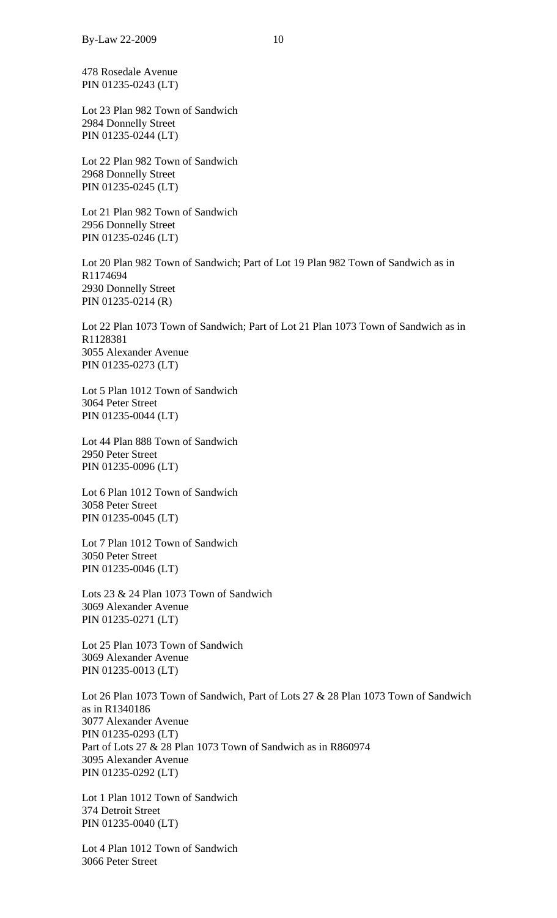478 Rosedale Avenue PIN 01235-0243 (LT)

Lot 23 Plan 982 Town of Sandwich 2984 Donnelly Street PIN 01235-0244 (LT)

Lot 22 Plan 982 Town of Sandwich 2968 Donnelly Street PIN 01235-0245 (LT)

Lot 21 Plan 982 Town of Sandwich 2956 Donnelly Street PIN 01235-0246 (LT)

Lot 20 Plan 982 Town of Sandwich; Part of Lot 19 Plan 982 Town of Sandwich as in R1174694 2930 Donnelly Street PIN 01235-0214 (R)

Lot 22 Plan 1073 Town of Sandwich; Part of Lot 21 Plan 1073 Town of Sandwich as in R1128381 3055 Alexander Avenue PIN 01235-0273 (LT)

Lot 5 Plan 1012 Town of Sandwich 3064 Peter Street PIN 01235-0044 (LT)

Lot 44 Plan 888 Town of Sandwich 2950 Peter Street PIN 01235-0096 (LT)

Lot 6 Plan 1012 Town of Sandwich 3058 Peter Street PIN 01235-0045 (LT)

Lot 7 Plan 1012 Town of Sandwich 3050 Peter Street PIN 01235-0046 (LT)

Lots 23 & 24 Plan 1073 Town of Sandwich 3069 Alexander Avenue PIN 01235-0271 (LT)

Lot 25 Plan 1073 Town of Sandwich 3069 Alexander Avenue PIN 01235-0013 (LT)

Lot 26 Plan 1073 Town of Sandwich, Part of Lots 27 & 28 Plan 1073 Town of Sandwich as in R1340186 3077 Alexander Avenue PIN 01235-0293 (LT) Part of Lots 27 & 28 Plan 1073 Town of Sandwich as in R860974 3095 Alexander Avenue PIN 01235-0292 (LT)

Lot 1 Plan 1012 Town of Sandwich 374 Detroit Street PIN 01235-0040 (LT)

Lot 4 Plan 1012 Town of Sandwich 3066 Peter Street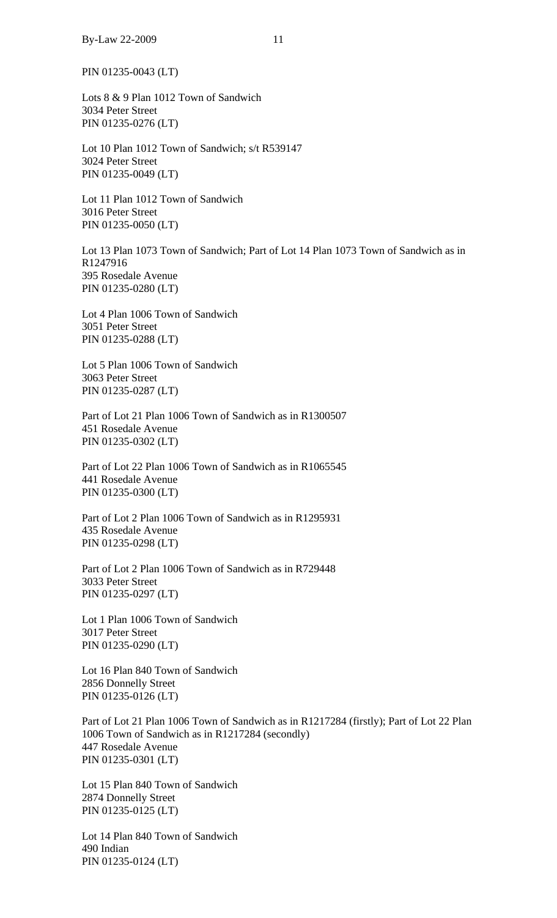PIN 01235-0043 (LT)

Lots 8 & 9 Plan 1012 Town of Sandwich 3034 Peter Street PIN 01235-0276 (LT)

Lot 10 Plan 1012 Town of Sandwich; s/t R539147 3024 Peter Street PIN 01235-0049 (LT)

Lot 11 Plan 1012 Town of Sandwich 3016 Peter Street PIN 01235-0050 (LT)

Lot 13 Plan 1073 Town of Sandwich; Part of Lot 14 Plan 1073 Town of Sandwich as in R1247916 395 Rosedale Avenue PIN 01235-0280 (LT)

Lot 4 Plan 1006 Town of Sandwich 3051 Peter Street PIN 01235-0288 (LT)

Lot 5 Plan 1006 Town of Sandwich 3063 Peter Street PIN 01235-0287 (LT)

Part of Lot 21 Plan 1006 Town of Sandwich as in R1300507 451 Rosedale Avenue PIN 01235-0302 (LT)

Part of Lot 22 Plan 1006 Town of Sandwich as in R1065545 441 Rosedale Avenue PIN 01235-0300 (LT)

Part of Lot 2 Plan 1006 Town of Sandwich as in R1295931 435 Rosedale Avenue PIN 01235-0298 (LT)

Part of Lot 2 Plan 1006 Town of Sandwich as in R729448 3033 Peter Street PIN 01235-0297 (LT)

Lot 1 Plan 1006 Town of Sandwich 3017 Peter Street PIN 01235-0290 (LT)

Lot 16 Plan 840 Town of Sandwich 2856 Donnelly Street PIN 01235-0126 (LT)

Part of Lot 21 Plan 1006 Town of Sandwich as in R1217284 (firstly); Part of Lot 22 Plan 1006 Town of Sandwich as in R1217284 (secondly) 447 Rosedale Avenue PIN 01235-0301 (LT)

Lot 15 Plan 840 Town of Sandwich 2874 Donnelly Street PIN 01235-0125 (LT)

Lot 14 Plan 840 Town of Sandwich 490 Indian PIN 01235-0124 (LT)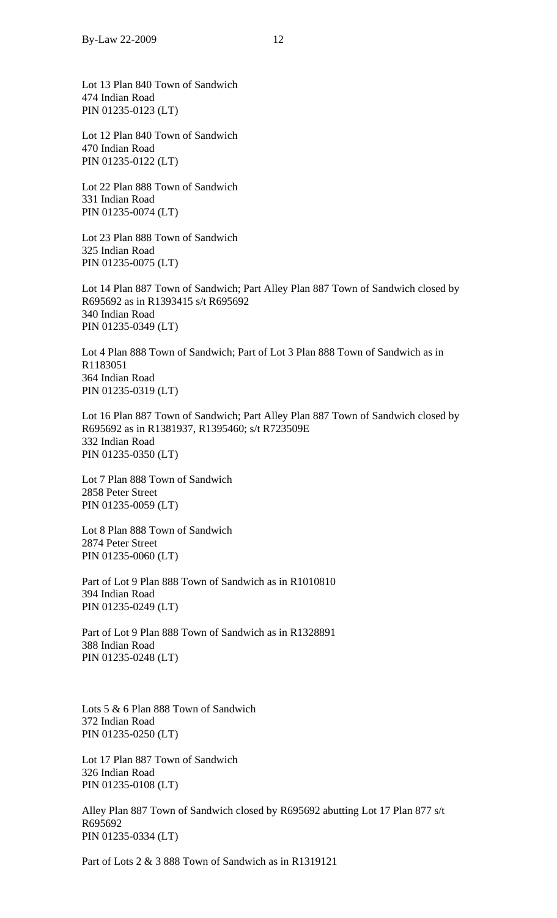Lot 13 Plan 840 Town of Sandwich 474 Indian Road PIN 01235-0123 (LT)

Lot 12 Plan 840 Town of Sandwich 470 Indian Road PIN 01235-0122 (LT)

Lot 22 Plan 888 Town of Sandwich 331 Indian Road PIN 01235-0074 (LT)

Lot 23 Plan 888 Town of Sandwich 325 Indian Road PIN 01235-0075 (LT)

Lot 14 Plan 887 Town of Sandwich; Part Alley Plan 887 Town of Sandwich closed by R695692 as in R1393415 s/t R695692 340 Indian Road PIN 01235-0349 (LT)

Lot 4 Plan 888 Town of Sandwich; Part of Lot 3 Plan 888 Town of Sandwich as in R1183051 364 Indian Road PIN 01235-0319 (LT)

Lot 16 Plan 887 Town of Sandwich; Part Alley Plan 887 Town of Sandwich closed by R695692 as in R1381937, R1395460; s/t R723509E 332 Indian Road PIN 01235-0350 (LT)

Lot 7 Plan 888 Town of Sandwich 2858 Peter Street PIN 01235-0059 (LT)

Lot 8 Plan 888 Town of Sandwich 2874 Peter Street PIN 01235-0060 (LT)

Part of Lot 9 Plan 888 Town of Sandwich as in R1010810 394 Indian Road PIN 01235-0249 (LT)

Part of Lot 9 Plan 888 Town of Sandwich as in R1328891 388 Indian Road PIN 01235-0248 (LT)

Lots 5 & 6 Plan 888 Town of Sandwich 372 Indian Road PIN 01235-0250 (LT)

Lot 17 Plan 887 Town of Sandwich 326 Indian Road PIN 01235-0108 (LT)

Alley Plan 887 Town of Sandwich closed by R695692 abutting Lot 17 Plan 877 s/t R695692 PIN 01235-0334 (LT)

Part of Lots 2 & 3 888 Town of Sandwich as in R1319121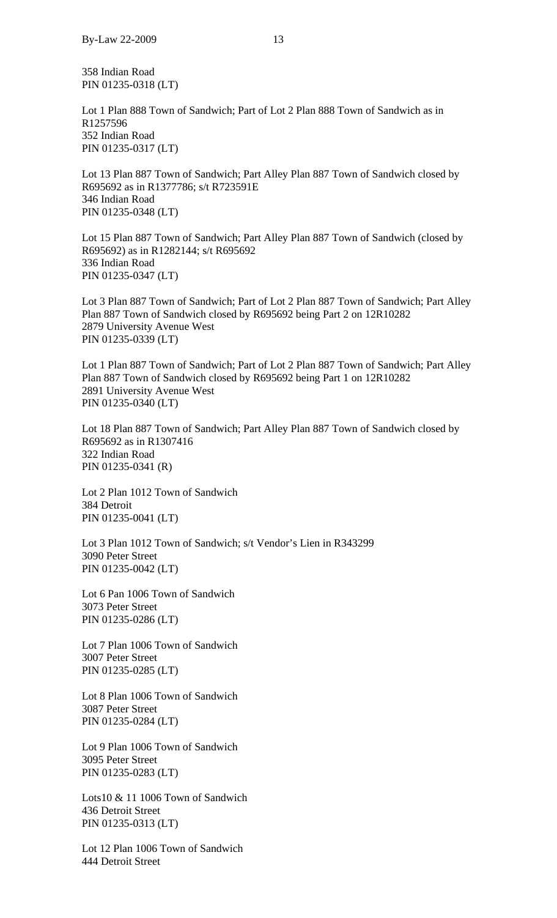358 Indian Road PIN 01235-0318 (LT)

Lot 1 Plan 888 Town of Sandwich; Part of Lot 2 Plan 888 Town of Sandwich as in R1257596 352 Indian Road PIN 01235-0317 (LT)

Lot 13 Plan 887 Town of Sandwich; Part Alley Plan 887 Town of Sandwich closed by R695692 as in R1377786; s/t R723591E 346 Indian Road PIN 01235-0348 (LT)

Lot 15 Plan 887 Town of Sandwich; Part Alley Plan 887 Town of Sandwich (closed by R695692) as in R1282144; s/t R695692 336 Indian Road PIN 01235-0347 (LT)

Lot 3 Plan 887 Town of Sandwich; Part of Lot 2 Plan 887 Town of Sandwich; Part Alley Plan 887 Town of Sandwich closed by R695692 being Part 2 on 12R10282 2879 University Avenue West PIN 01235-0339 (LT)

Lot 1 Plan 887 Town of Sandwich; Part of Lot 2 Plan 887 Town of Sandwich; Part Alley Plan 887 Town of Sandwich closed by R695692 being Part 1 on 12R10282 2891 University Avenue West PIN 01235-0340 (LT)

Lot 18 Plan 887 Town of Sandwich; Part Alley Plan 887 Town of Sandwich closed by R695692 as in R1307416 322 Indian Road PIN 01235-0341 (R)

Lot 2 Plan 1012 Town of Sandwich 384 Detroit PIN 01235-0041 (LT)

Lot 3 Plan 1012 Town of Sandwich; s/t Vendor's Lien in R343299 3090 Peter Street PIN 01235-0042 (LT)

Lot 6 Pan 1006 Town of Sandwich 3073 Peter Street PIN 01235-0286 (LT)

Lot 7 Plan 1006 Town of Sandwich 3007 Peter Street PIN 01235-0285 (LT)

Lot 8 Plan 1006 Town of Sandwich 3087 Peter Street PIN 01235-0284 (LT)

Lot 9 Plan 1006 Town of Sandwich 3095 Peter Street PIN 01235-0283 (LT)

Lots10 & 11 1006 Town of Sandwich 436 Detroit Street PIN 01235-0313 (LT)

Lot 12 Plan 1006 Town of Sandwich 444 Detroit Street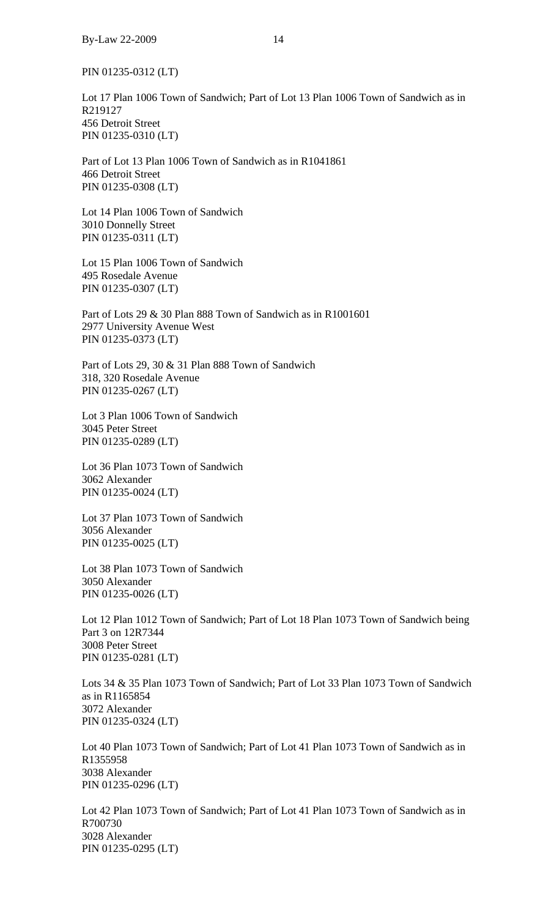PIN 01235-0312 (LT)

Lot 17 Plan 1006 Town of Sandwich; Part of Lot 13 Plan 1006 Town of Sandwich as in R219127 456 Detroit Street PIN 01235-0310 (LT)

Part of Lot 13 Plan 1006 Town of Sandwich as in R1041861 466 Detroit Street PIN 01235-0308 (LT)

Lot 14 Plan 1006 Town of Sandwich 3010 Donnelly Street PIN 01235-0311 (LT)

Lot 15 Plan 1006 Town of Sandwich 495 Rosedale Avenue PIN 01235-0307 (LT)

Part of Lots 29 & 30 Plan 888 Town of Sandwich as in R1001601 2977 University Avenue West PIN 01235-0373 (LT)

Part of Lots 29, 30 & 31 Plan 888 Town of Sandwich 318, 320 Rosedale Avenue PIN 01235-0267 (LT)

Lot 3 Plan 1006 Town of Sandwich 3045 Peter Street PIN 01235-0289 (LT)

Lot 36 Plan 1073 Town of Sandwich 3062 Alexander PIN 01235-0024 (LT)

Lot 37 Plan 1073 Town of Sandwich 3056 Alexander PIN 01235-0025 (LT)

Lot 38 Plan 1073 Town of Sandwich 3050 Alexander PIN 01235-0026 (LT)

Lot 12 Plan 1012 Town of Sandwich; Part of Lot 18 Plan 1073 Town of Sandwich being Part 3 on 12R7344 3008 Peter Street PIN 01235-0281 (LT)

Lots 34 & 35 Plan 1073 Town of Sandwich; Part of Lot 33 Plan 1073 Town of Sandwich as in R1165854 3072 Alexander PIN 01235-0324 (LT)

Lot 40 Plan 1073 Town of Sandwich; Part of Lot 41 Plan 1073 Town of Sandwich as in R1355958 3038 Alexander PIN 01235-0296 (LT)

Lot 42 Plan 1073 Town of Sandwich; Part of Lot 41 Plan 1073 Town of Sandwich as in R700730 3028 Alexander PIN 01235-0295 (LT)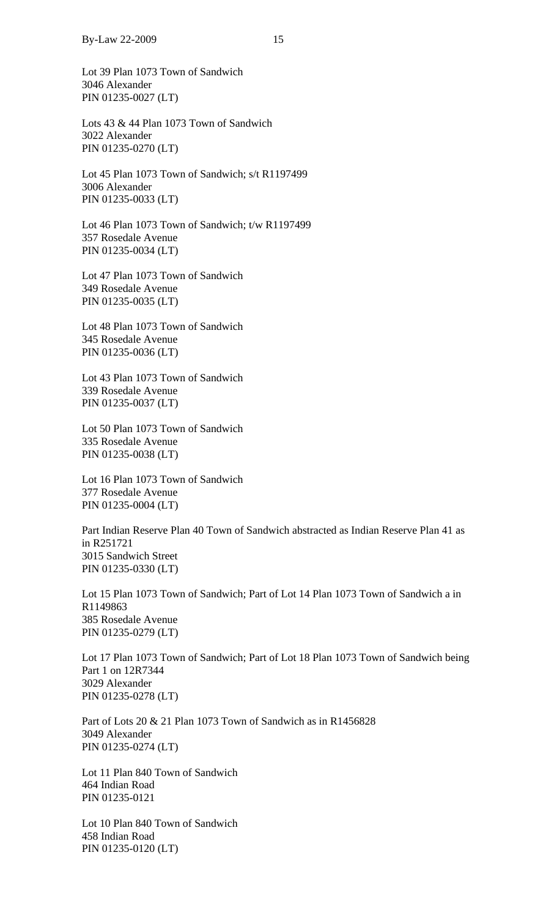Lot 39 Plan 1073 Town of Sandwich 3046 Alexander PIN 01235-0027 (LT)

Lots 43 & 44 Plan 1073 Town of Sandwich 3022 Alexander PIN 01235-0270 (LT)

Lot 45 Plan 1073 Town of Sandwich; s/t R1197499 3006 Alexander PIN 01235-0033 (LT)

Lot 46 Plan 1073 Town of Sandwich; t/w R1197499 357 Rosedale Avenue PIN 01235-0034 (LT)

Lot 47 Plan 1073 Town of Sandwich 349 Rosedale Avenue PIN 01235-0035 (LT)

Lot 48 Plan 1073 Town of Sandwich 345 Rosedale Avenue PIN 01235-0036 (LT)

Lot 43 Plan 1073 Town of Sandwich 339 Rosedale Avenue PIN 01235-0037 (LT)

Lot 50 Plan 1073 Town of Sandwich 335 Rosedale Avenue PIN 01235-0038 (LT)

Lot 16 Plan 1073 Town of Sandwich 377 Rosedale Avenue PIN 01235-0004 (LT)

Part Indian Reserve Plan 40 Town of Sandwich abstracted as Indian Reserve Plan 41 as in R251721 3015 Sandwich Street PIN 01235-0330 (LT)

Lot 15 Plan 1073 Town of Sandwich; Part of Lot 14 Plan 1073 Town of Sandwich a in R1149863 385 Rosedale Avenue PIN 01235-0279 (LT)

Lot 17 Plan 1073 Town of Sandwich; Part of Lot 18 Plan 1073 Town of Sandwich being Part 1 on 12R7344 3029 Alexander PIN 01235-0278 (LT)

Part of Lots 20 & 21 Plan 1073 Town of Sandwich as in R1456828 3049 Alexander PIN 01235-0274 (LT)

Lot 11 Plan 840 Town of Sandwich 464 Indian Road PIN 01235-0121

Lot 10 Plan 840 Town of Sandwich 458 Indian Road PIN 01235-0120 (LT)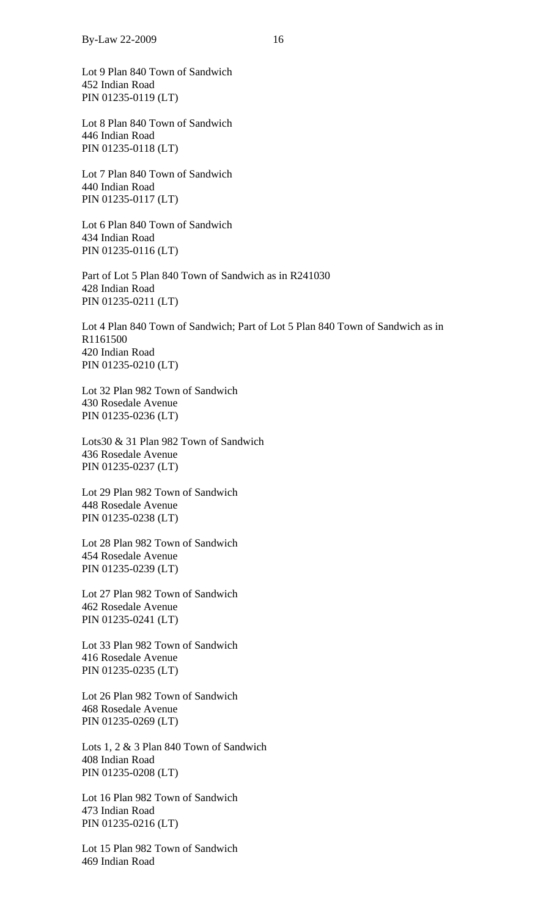Lot 9 Plan 840 Town of Sandwich 452 Indian Road PIN 01235-0119 (LT)

Lot 8 Plan 840 Town of Sandwich 446 Indian Road PIN 01235-0118 (LT)

Lot 7 Plan 840 Town of Sandwich 440 Indian Road PIN 01235-0117 (LT)

Lot 6 Plan 840 Town of Sandwich 434 Indian Road PIN 01235-0116 (LT)

Part of Lot 5 Plan 840 Town of Sandwich as in R241030 428 Indian Road PIN 01235-0211 (LT)

Lot 4 Plan 840 Town of Sandwich; Part of Lot 5 Plan 840 Town of Sandwich as in R1161500 420 Indian Road PIN 01235-0210 (LT)

Lot 32 Plan 982 Town of Sandwich 430 Rosedale Avenue PIN 01235-0236 (LT)

Lots30 & 31 Plan 982 Town of Sandwich 436 Rosedale Avenue PIN 01235-0237 (LT)

Lot 29 Plan 982 Town of Sandwich 448 Rosedale Avenue PIN 01235-0238 (LT)

Lot 28 Plan 982 Town of Sandwich 454 Rosedale Avenue PIN 01235-0239 (LT)

Lot 27 Plan 982 Town of Sandwich 462 Rosedale Avenue PIN 01235-0241 (LT)

Lot 33 Plan 982 Town of Sandwich 416 Rosedale Avenue PIN 01235-0235 (LT)

Lot 26 Plan 982 Town of Sandwich 468 Rosedale Avenue PIN 01235-0269 (LT)

Lots 1, 2 & 3 Plan 840 Town of Sandwich 408 Indian Road PIN 01235-0208 (LT)

Lot 16 Plan 982 Town of Sandwich 473 Indian Road PIN 01235-0216 (LT)

Lot 15 Plan 982 Town of Sandwich 469 Indian Road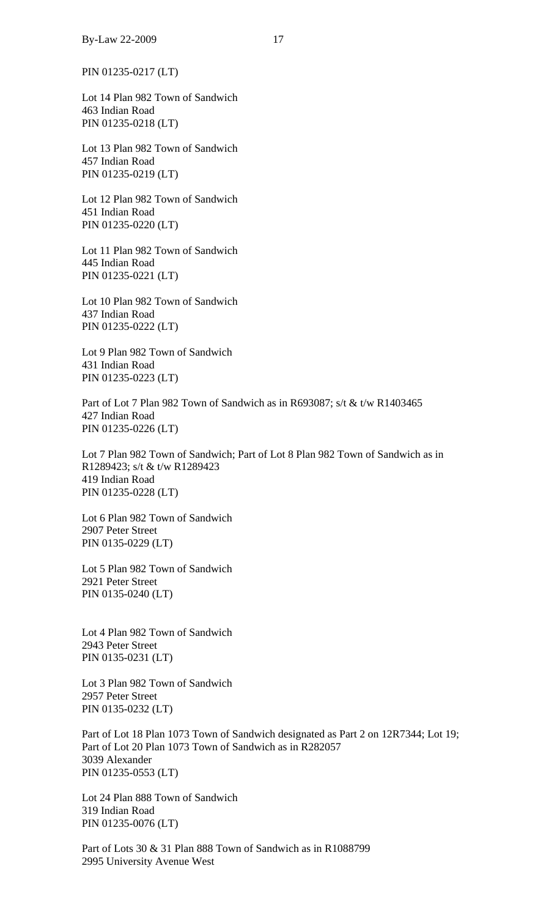PIN 01235-0217 (LT)

Lot 14 Plan 982 Town of Sandwich 463 Indian Road PIN 01235-0218 (LT)

Lot 13 Plan 982 Town of Sandwich 457 Indian Road PIN 01235-0219 (LT)

Lot 12 Plan 982 Town of Sandwich 451 Indian Road PIN 01235-0220 (LT)

Lot 11 Plan 982 Town of Sandwich 445 Indian Road PIN 01235-0221 (LT)

Lot 10 Plan 982 Town of Sandwich 437 Indian Road PIN 01235-0222 (LT)

Lot 9 Plan 982 Town of Sandwich 431 Indian Road PIN 01235-0223 (LT)

Part of Lot 7 Plan 982 Town of Sandwich as in R693087; s/t & t/w R1403465 427 Indian Road PIN 01235-0226 (LT)

Lot 7 Plan 982 Town of Sandwich; Part of Lot 8 Plan 982 Town of Sandwich as in R1289423; s/t & t/w R1289423 419 Indian Road PIN 01235-0228 (LT)

Lot 6 Plan 982 Town of Sandwich 2907 Peter Street PIN 0135-0229 (LT)

Lot 5 Plan 982 Town of Sandwich 2921 Peter Street PIN 0135-0240 (LT)

Lot 4 Plan 982 Town of Sandwich 2943 Peter Street PIN 0135-0231 (LT)

Lot 3 Plan 982 Town of Sandwich 2957 Peter Street PIN 0135-0232 (LT)

Part of Lot 18 Plan 1073 Town of Sandwich designated as Part 2 on 12R7344; Lot 19; Part of Lot 20 Plan 1073 Town of Sandwich as in R282057 3039 Alexander PIN 01235-0553 (LT)

Lot 24 Plan 888 Town of Sandwich 319 Indian Road PIN 01235-0076 (LT)

Part of Lots 30 & 31 Plan 888 Town of Sandwich as in R1088799 2995 University Avenue West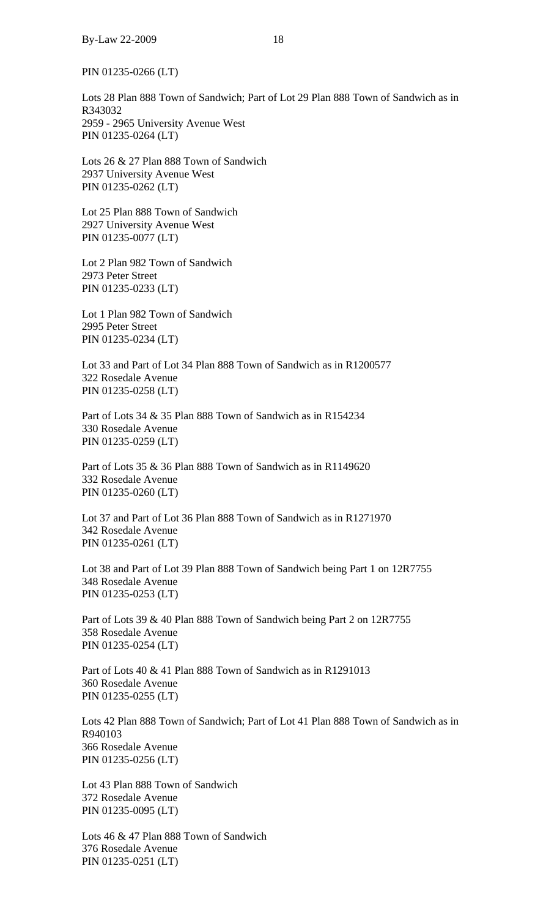PIN 01235-0266 (LT)

Lots 28 Plan 888 Town of Sandwich; Part of Lot 29 Plan 888 Town of Sandwich as in R343032 2959 - 2965 University Avenue West PIN 01235-0264 (LT)

Lots 26 & 27 Plan 888 Town of Sandwich 2937 University Avenue West PIN 01235-0262 (LT)

Lot 25 Plan 888 Town of Sandwich 2927 University Avenue West PIN 01235-0077 (LT)

Lot 2 Plan 982 Town of Sandwich 2973 Peter Street PIN 01235-0233 (LT)

Lot 1 Plan 982 Town of Sandwich 2995 Peter Street PIN 01235-0234 (LT)

Lot 33 and Part of Lot 34 Plan 888 Town of Sandwich as in R1200577 322 Rosedale Avenue PIN 01235-0258 (LT)

Part of Lots 34 & 35 Plan 888 Town of Sandwich as in R154234 330 Rosedale Avenue PIN 01235-0259 (LT)

Part of Lots 35 & 36 Plan 888 Town of Sandwich as in R1149620 332 Rosedale Avenue PIN 01235-0260 (LT)

Lot 37 and Part of Lot 36 Plan 888 Town of Sandwich as in R1271970 342 Rosedale Avenue PIN 01235-0261 (LT)

Lot 38 and Part of Lot 39 Plan 888 Town of Sandwich being Part 1 on 12R7755 348 Rosedale Avenue PIN 01235-0253 (LT)

Part of Lots 39 & 40 Plan 888 Town of Sandwich being Part 2 on 12R7755 358 Rosedale Avenue PIN 01235-0254 (LT)

Part of Lots 40 & 41 Plan 888 Town of Sandwich as in R1291013 360 Rosedale Avenue PIN 01235-0255 (LT)

Lots 42 Plan 888 Town of Sandwich; Part of Lot 41 Plan 888 Town of Sandwich as in R940103 366 Rosedale Avenue PIN 01235-0256 (LT)

Lot 43 Plan 888 Town of Sandwich 372 Rosedale Avenue PIN 01235-0095 (LT)

Lots 46 & 47 Plan 888 Town of Sandwich 376 Rosedale Avenue PIN 01235-0251 (LT)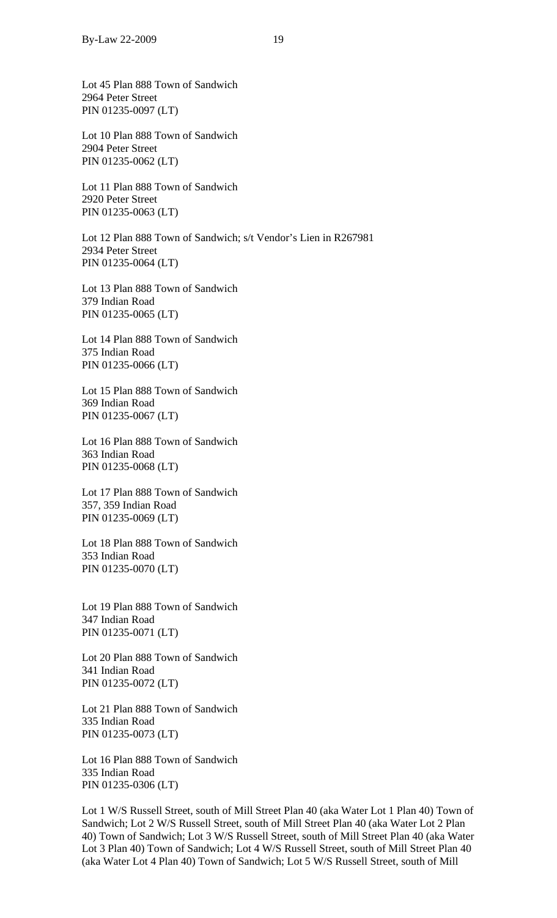Lot 45 Plan 888 Town of Sandwich 2964 Peter Street PIN 01235-0097 (LT)

Lot 10 Plan 888 Town of Sandwich 2904 Peter Street PIN 01235-0062 (LT)

Lot 11 Plan 888 Town of Sandwich 2920 Peter Street PIN 01235-0063 (LT)

Lot 12 Plan 888 Town of Sandwich; s/t Vendor's Lien in R267981 2934 Peter Street PIN 01235-0064 (LT)

Lot 13 Plan 888 Town of Sandwich 379 Indian Road PIN 01235-0065 (LT)

Lot 14 Plan 888 Town of Sandwich 375 Indian Road PIN 01235-0066 (LT)

Lot 15 Plan 888 Town of Sandwich 369 Indian Road PIN 01235-0067 (LT)

Lot 16 Plan 888 Town of Sandwich 363 Indian Road PIN 01235-0068 (LT)

Lot 17 Plan 888 Town of Sandwich 357, 359 Indian Road PIN 01235-0069 (LT)

Lot 18 Plan 888 Town of Sandwich 353 Indian Road PIN 01235-0070 (LT)

Lot 19 Plan 888 Town of Sandwich 347 Indian Road PIN 01235-0071 (LT)

Lot 20 Plan 888 Town of Sandwich 341 Indian Road PIN 01235-0072 (LT)

Lot 21 Plan 888 Town of Sandwich 335 Indian Road PIN 01235-0073 (LT)

Lot 16 Plan 888 Town of Sandwich 335 Indian Road PIN 01235-0306 (LT)

Lot 1 W/S Russell Street, south of Mill Street Plan 40 (aka Water Lot 1 Plan 40) Town of Sandwich; Lot 2 W/S Russell Street, south of Mill Street Plan 40 (aka Water Lot 2 Plan 40) Town of Sandwich; Lot 3 W/S Russell Street, south of Mill Street Plan 40 (aka Water Lot 3 Plan 40) Town of Sandwich; Lot 4 W/S Russell Street, south of Mill Street Plan 40 (aka Water Lot 4 Plan 40) Town of Sandwich; Lot 5 W/S Russell Street, south of Mill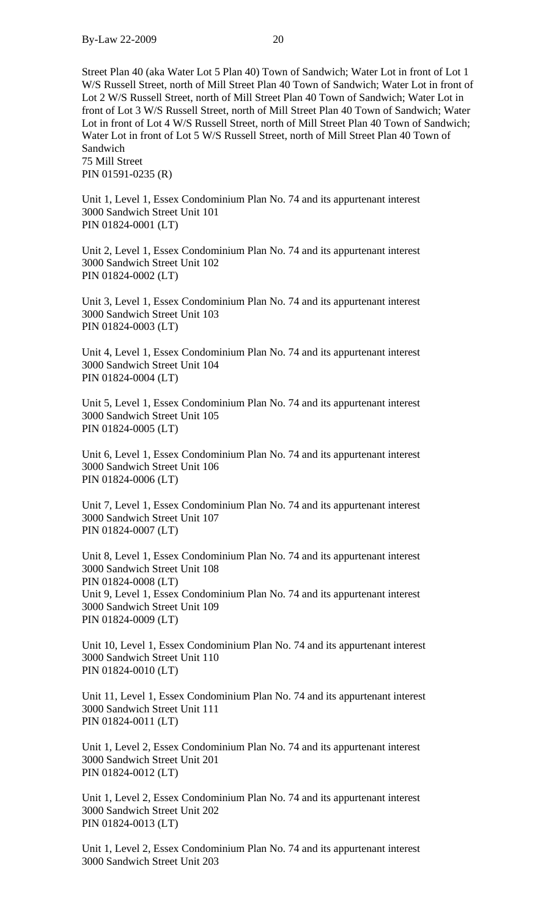Street Plan 40 (aka Water Lot 5 Plan 40) Town of Sandwich; Water Lot in front of Lot 1 W/S Russell Street, north of Mill Street Plan 40 Town of Sandwich; Water Lot in front of Lot 2 W/S Russell Street, north of Mill Street Plan 40 Town of Sandwich; Water Lot in front of Lot 3 W/S Russell Street, north of Mill Street Plan 40 Town of Sandwich; Water Lot in front of Lot 4 W/S Russell Street, north of Mill Street Plan 40 Town of Sandwich; Water Lot in front of Lot 5 W/S Russell Street, north of Mill Street Plan 40 Town of Sandwich 75 Mill Street

PIN 01591-0235 (R)

Unit 1, Level 1, Essex Condominium Plan No. 74 and its appurtenant interest 3000 Sandwich Street Unit 101 PIN 01824-0001 (LT)

Unit 2, Level 1, Essex Condominium Plan No. 74 and its appurtenant interest 3000 Sandwich Street Unit 102 PIN 01824-0002 (LT)

Unit 3, Level 1, Essex Condominium Plan No. 74 and its appurtenant interest 3000 Sandwich Street Unit 103 PIN 01824-0003 (LT)

Unit 4, Level 1, Essex Condominium Plan No. 74 and its appurtenant interest 3000 Sandwich Street Unit 104 PIN 01824-0004 (LT)

Unit 5, Level 1, Essex Condominium Plan No. 74 and its appurtenant interest 3000 Sandwich Street Unit 105 PIN 01824-0005 (LT)

Unit 6, Level 1, Essex Condominium Plan No. 74 and its appurtenant interest 3000 Sandwich Street Unit 106 PIN 01824-0006 (LT)

Unit 7, Level 1, Essex Condominium Plan No. 74 and its appurtenant interest 3000 Sandwich Street Unit 107 PIN 01824-0007 (LT)

Unit 8, Level 1, Essex Condominium Plan No. 74 and its appurtenant interest 3000 Sandwich Street Unit 108 PIN 01824-0008 (LT) Unit 9, Level 1, Essex Condominium Plan No. 74 and its appurtenant interest 3000 Sandwich Street Unit 109 PIN 01824-0009 (LT)

Unit 10, Level 1, Essex Condominium Plan No. 74 and its appurtenant interest 3000 Sandwich Street Unit 110 PIN 01824-0010 (LT)

Unit 11, Level 1, Essex Condominium Plan No. 74 and its appurtenant interest 3000 Sandwich Street Unit 111 PIN 01824-0011 (LT)

Unit 1, Level 2, Essex Condominium Plan No. 74 and its appurtenant interest 3000 Sandwich Street Unit 201 PIN 01824-0012 (LT)

Unit 1, Level 2, Essex Condominium Plan No. 74 and its appurtenant interest 3000 Sandwich Street Unit 202 PIN 01824-0013 (LT)

Unit 1, Level 2, Essex Condominium Plan No. 74 and its appurtenant interest 3000 Sandwich Street Unit 203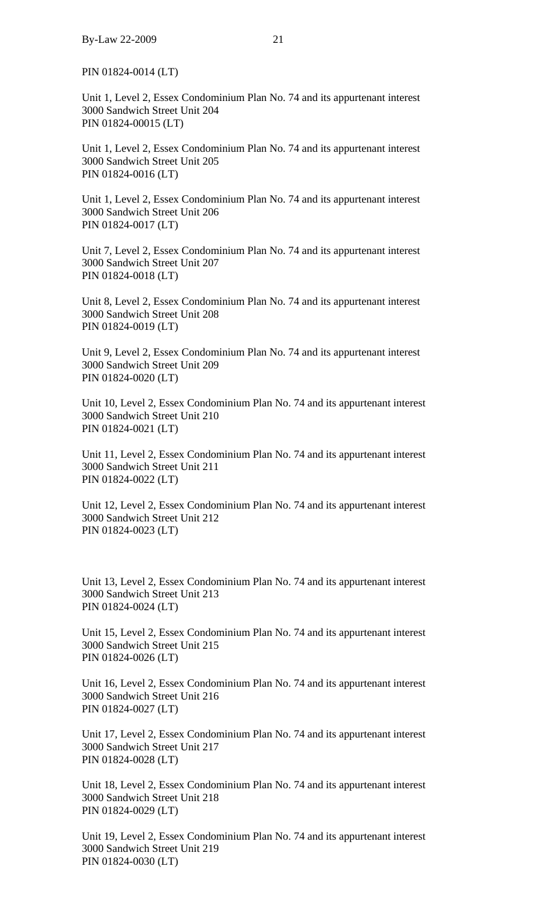PIN 01824-0014 (LT)

Unit 1, Level 2, Essex Condominium Plan No. 74 and its appurtenant interest 3000 Sandwich Street Unit 204 PIN 01824-00015 (LT)

Unit 1, Level 2, Essex Condominium Plan No. 74 and its appurtenant interest 3000 Sandwich Street Unit 205 PIN 01824-0016 (LT)

Unit 1, Level 2, Essex Condominium Plan No. 74 and its appurtenant interest 3000 Sandwich Street Unit 206 PIN 01824-0017 (LT)

Unit 7, Level 2, Essex Condominium Plan No. 74 and its appurtenant interest 3000 Sandwich Street Unit 207 PIN 01824-0018 (LT)

Unit 8, Level 2, Essex Condominium Plan No. 74 and its appurtenant interest 3000 Sandwich Street Unit 208 PIN 01824-0019 (LT)

Unit 9, Level 2, Essex Condominium Plan No. 74 and its appurtenant interest 3000 Sandwich Street Unit 209 PIN 01824-0020 (LT)

Unit 10, Level 2, Essex Condominium Plan No. 74 and its appurtenant interest 3000 Sandwich Street Unit 210 PIN 01824-0021 (LT)

Unit 11, Level 2, Essex Condominium Plan No. 74 and its appurtenant interest 3000 Sandwich Street Unit 211 PIN 01824-0022 (LT)

Unit 12, Level 2, Essex Condominium Plan No. 74 and its appurtenant interest 3000 Sandwich Street Unit 212 PIN 01824-0023 (LT)

Unit 13, Level 2, Essex Condominium Plan No. 74 and its appurtenant interest 3000 Sandwich Street Unit 213 PIN 01824-0024 (LT)

Unit 15, Level 2, Essex Condominium Plan No. 74 and its appurtenant interest 3000 Sandwich Street Unit 215 PIN 01824-0026 (LT)

Unit 16, Level 2, Essex Condominium Plan No. 74 and its appurtenant interest 3000 Sandwich Street Unit 216 PIN 01824-0027 (LT)

Unit 17, Level 2, Essex Condominium Plan No. 74 and its appurtenant interest 3000 Sandwich Street Unit 217 PIN 01824-0028 (LT)

Unit 18, Level 2, Essex Condominium Plan No. 74 and its appurtenant interest 3000 Sandwich Street Unit 218 PIN 01824-0029 (LT)

Unit 19, Level 2, Essex Condominium Plan No. 74 and its appurtenant interest 3000 Sandwich Street Unit 219 PIN 01824-0030 (LT)